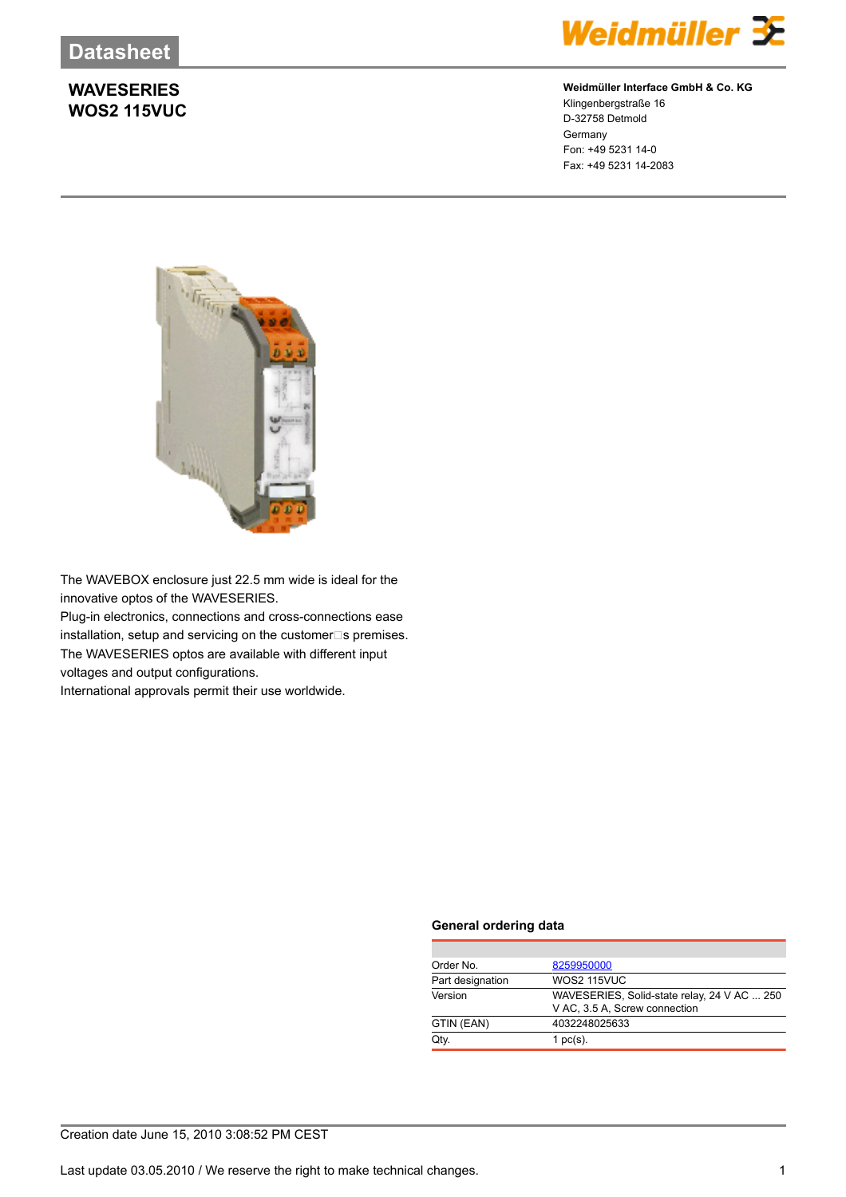### **WAVESERIES WOS2 115VUC**



#### **Weidmüller Interface GmbH & Co. KG**

Klingenbergstraße 16 D-32758 Detmold Germany Fon: +49 5231 14-0 Fax: +49 5231 14-2083



The WAVEBOX enclosure just 22.5 mm wide is ideal for the innovative optos of the WAVESERIES. Plug-in electronics, connections and cross-connections ease installation, setup and servicing on the customer $\square$ s premises. The WAVESERIES optos are available with different input voltages and output configurations.

International approvals permit their use worldwide.

#### **General ordering data**

| Order No.        | 8259950000                                  |
|------------------|---------------------------------------------|
| Part designation | WOS2 115VUC                                 |
| Version          | WAVESERIES, Solid-state relay, 24 V AC  250 |
|                  | V AC, 3.5 A, Screw connection               |
| GTIN (EAN)       | 4032248025633                               |
| Qtv.             | 1 $pc(s)$ .                                 |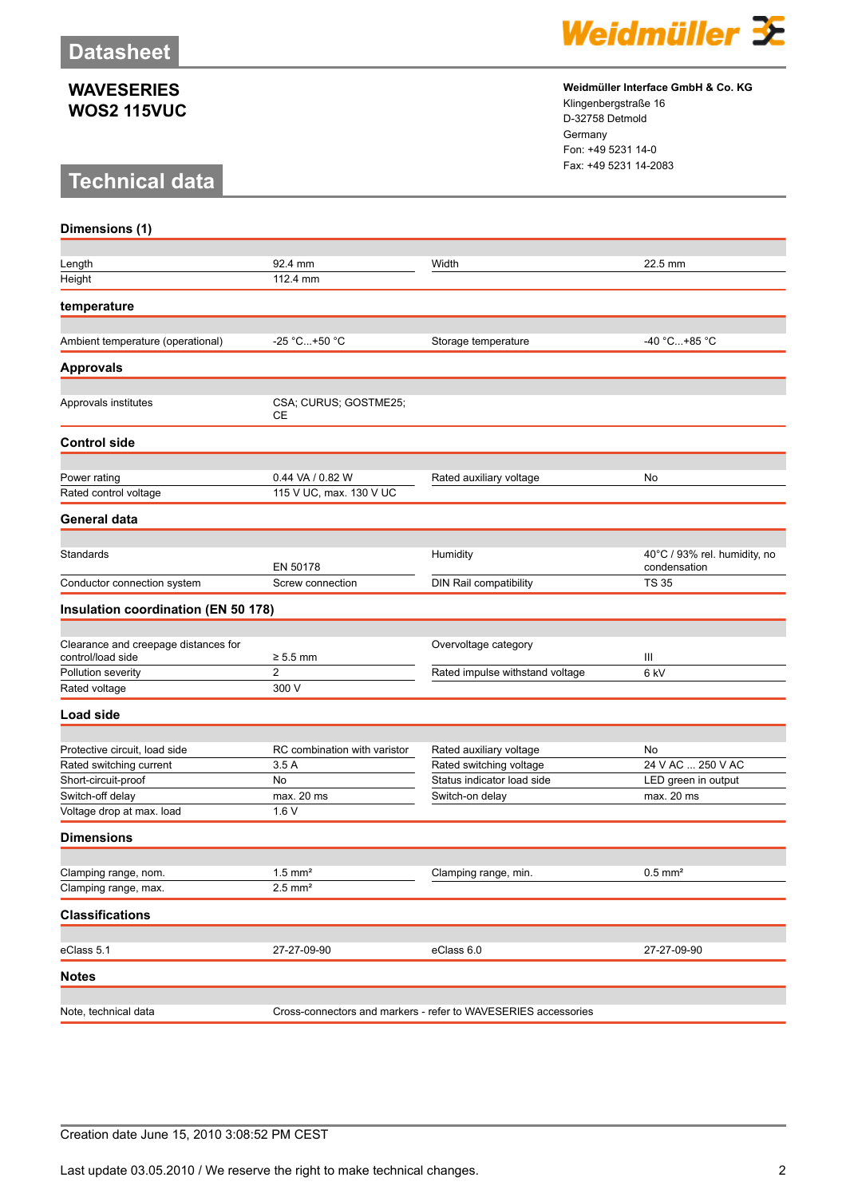#### **WAVESERIES WOS2 115VUC**

## **Technical data**



**Weidmüller Interface GmbH & Co. KG** Klingenbergstraße 16 D-32758 Detmold Germany

Fon: +49 5231 14-0 Fax: +49 5231 14-2083

| Dimensions (1)                                            |                                                                |                                 |                                              |  |
|-----------------------------------------------------------|----------------------------------------------------------------|---------------------------------|----------------------------------------------|--|
| Length                                                    | 92.4 mm                                                        | Width                           | 22.5 mm                                      |  |
| Height                                                    | 112.4 mm                                                       |                                 |                                              |  |
| temperature                                               |                                                                |                                 |                                              |  |
|                                                           |                                                                |                                 |                                              |  |
| Ambient temperature (operational)                         | -25 °C+50 °C                                                   | Storage temperature             | -40 °C+85 °C                                 |  |
| <b>Approvals</b>                                          |                                                                |                                 |                                              |  |
| Approvals institutes                                      | CSA; CURUS; GOSTME25;<br>CЕ                                    |                                 |                                              |  |
| <b>Control side</b>                                       |                                                                |                                 |                                              |  |
|                                                           |                                                                |                                 |                                              |  |
| Power rating<br>Rated control voltage                     | 0.44 VA / 0.82 W<br>115 V UC, max. 130 V UC                    | Rated auxiliary voltage         | No                                           |  |
| General data                                              |                                                                |                                 |                                              |  |
|                                                           |                                                                |                                 |                                              |  |
| Standards                                                 | EN 50178                                                       | Humidity                        | 40°C / 93% rel. humidity, no<br>condensation |  |
| Conductor connection system                               | Screw connection                                               | DIN Rail compatibility          | <b>TS 35</b>                                 |  |
| Insulation coordination (EN 50 178)                       |                                                                |                                 |                                              |  |
|                                                           |                                                                |                                 |                                              |  |
| Clearance and creepage distances for<br>control/load side | $\geq 5.5$ mm                                                  | Overvoltage category            | Ш                                            |  |
| Pollution severity                                        | $\overline{2}$                                                 | Rated impulse withstand voltage | 6 kV                                         |  |
| Rated voltage                                             | 300 V                                                          |                                 |                                              |  |
| Load side                                                 |                                                                |                                 |                                              |  |
|                                                           |                                                                |                                 |                                              |  |
| Protective circuit, load side                             | RC combination with varistor                                   | Rated auxiliary voltage         | No                                           |  |
| Rated switching current                                   | 3.5A                                                           | Rated switching voltage         | 24 V AC  250 V AC                            |  |
| Short-circuit-proof                                       | No                                                             | Status indicator load side      | LED green in output                          |  |
| Switch-off delay                                          | max. 20 ms                                                     | Switch-on delay                 | max. 20 ms                                   |  |
| Voltage drop at max. load                                 | 1.6V                                                           |                                 |                                              |  |
| <b>Dimensions</b>                                         |                                                                |                                 |                                              |  |
| Clamping range, nom.                                      | $1.5$ mm <sup>2</sup>                                          | Clamping range, min.            | $0.5$ mm <sup>2</sup>                        |  |
| Clamping range, max.                                      | $2.5$ mm <sup>2</sup>                                          |                                 |                                              |  |
| <b>Classifications</b>                                    |                                                                |                                 |                                              |  |
|                                                           |                                                                |                                 |                                              |  |
| eClass 5.1                                                | 27-27-09-90                                                    | eClass 6.0                      | 27-27-09-90                                  |  |
| Notes                                                     |                                                                |                                 |                                              |  |
|                                                           |                                                                |                                 |                                              |  |
| Note, technical data                                      | Cross-connectors and markers - refer to WAVESERIES accessories |                                 |                                              |  |